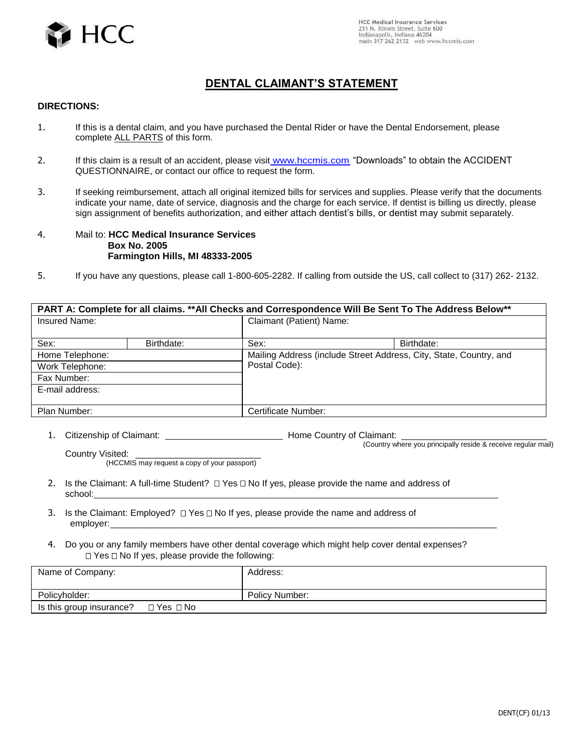

## **DENTAL CLAIMANT'S STATEMENT**

## **DIRECTIONS:**

- 1. If this is a dental claim, and you have purchased the Dental Rider or have the Dental Endorsement, please complete ALL PARTS of this form.
- 2. If this claim is a result of an accident, please visit www.hccmis.com, "Downloads" to obtain the ACCIDENT QUESTIONNAIRE, or contact our office to request the form.
- 3. If seeking reimbursement, attach all original itemized bills for services and supplies. Please verify that the documents indicate your name, date of service, diagnosis and the charge for each service. If dentist is billing us directly, please sign assignment of benefits authorization, and either attach dentist's bills, or dentist may submit separately.
- 4. Mail to: **HCC Medical Insurance Services Box No. 2005 Farmington Hills, MI 48333-2005**
- 5. If you have any questions, please call 1-800-605-2282. If calling from outside the US, call collect to (317) 262- 2132.

| PART A: Complete for all claims. **All Checks and Correspondence Will Be Sent To The Address Below** |            |                          |                                                                                     |  |
|------------------------------------------------------------------------------------------------------|------------|--------------------------|-------------------------------------------------------------------------------------|--|
| Insured Name:                                                                                        |            | Claimant (Patient) Name: |                                                                                     |  |
|                                                                                                      |            |                          |                                                                                     |  |
| Sex:                                                                                                 | Birthdate: | Sex:                     | Birthdate:                                                                          |  |
| Home Telephone:                                                                                      |            |                          | Mailing Address (include Street Address, City, State, Country, and<br>Postal Code): |  |
| Work Telephone:                                                                                      |            |                          |                                                                                     |  |
| Fax Number:                                                                                          |            |                          |                                                                                     |  |
| E-mail address:                                                                                      |            |                          |                                                                                     |  |
|                                                                                                      |            |                          |                                                                                     |  |
| Plan Number:                                                                                         |            | Certificate Number:      |                                                                                     |  |

1. Citizenship of Claimant: Home Country of Claimant: \_\_\_\_\_\_\_\_\_\_\_\_\_\_\_\_\_\_\_\_\_\_\_\_\_\_\_\_\_ (Country where you principally reside & receive regular mail) Country Visited:

(HCCMIS may request a copy of your passport)

- 2. Is the Claimant: A full-time Student?  $\Box$  Yes  $\Box$  No If yes, please provide the name and address of school:
- 3. Is the Claimant: Employed?  $\Box$  Yes  $\Box$  No If yes, please provide the name and address of employer:\_\_\_\_\_\_\_\_\_\_\_\_\_\_\_\_\_\_\_\_\_\_\_\_\_\_\_\_\_\_\_\_\_\_\_\_\_\_\_\_\_\_\_\_\_\_\_\_\_\_\_\_\_\_\_\_\_\_\_\_\_\_\_\_\_\_\_\_\_\_\_\_\_\_\_\_\_
- 4. Do you or any family members have other dental coverage which might help cover dental expenses?  $\Box$  Yes  $\Box$  No If yes, please provide the following:

| Name of Company:                                 | Address:       |
|--------------------------------------------------|----------------|
| Policyholder:                                    | Policy Number: |
| Is this group insurance?<br>$\Box$ Yes $\Box$ No |                |